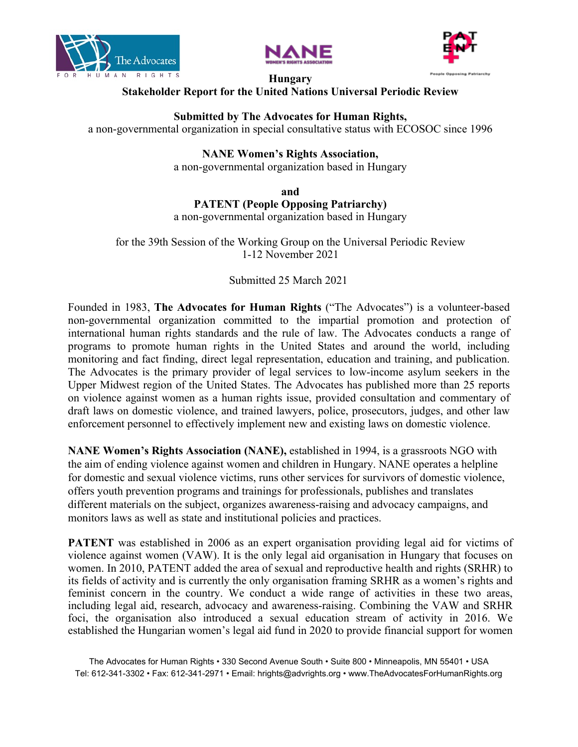





#### **Hungary Stakeholder Report for the United Nations Universal Periodic Review**

#### **Submitted by The Advocates for Human Rights,**

<sup>a</sup> non-governmental organization in special consultative status with ECOSOC since 1996

# **NANE Women'<sup>s</sup> Rights Association,**

<sup>a</sup> non-governmental organization based in Hungary

**and**

### **PATENT (People Opposing Patriarchy)**

<sup>a</sup> non-governmental organization based in Hungary

for the 39th Session of the Working Group on the Universal Periodic Review 1-12 November 2021

# Submitted 25 March 2021

Founded in 1983, **The Advocates for Human Rights** ("The Advocates") is <sup>a</sup> volunteer-based non-governmental organization committed to the impartial promotion and protection of international human rights standards and the rule of law. The Advocates conducts <sup>a</sup> range of programs to promote human rights in the United States and around the world, including monitoring and fact finding, direct legal representation, education and training, and publication. The Advocates is the primary provider of legal services to low-income asylum seekers in the Upper Midwest region of the United States. The Advocates has published more than 25 reports on violence against women as <sup>a</sup> human rights issue, provided consultation and commentary of draft laws on domestic violence, and trained lawyers, police, prosecutors, judges, and other law enforcement personnel to effectively implement new and existing laws on domestic violence.

**NANE Women'<sup>s</sup> Rights Association (NANE),** established in 1994, is <sup>a</sup> grassroots NGO with the aim of ending violence against women and children in Hungary. NANE operates <sup>a</sup> helpline for domestic and sexual violence victims, runs other services for survivors of domestic violence, offers youth prevention programs and trainings for professionals, publishes and translates different materials on the subject, organizes awareness-raising and advocacy campaigns, and monitors laws as well as state and institutional policies and practices.

**PATENT** was established in 2006 as an expert organisation providing legal aid for victims of violence against women (VAW). It is the only legal aid organisation in Hungary that focuses on women. In 2010, PATENT added the area of sexual and reproductive health and rights (SRHR) to its fields of activity and is currently the only organisation framing SRHR as <sup>a</sup> women'<sup>s</sup> rights and feminist concern in the country. We conduct <sup>a</sup> wide range of activities in these two areas, including legal aid, research, advocacy and awareness-raising. Combining the VAW and SRHR foci, the organisation also introduced <sup>a</sup> sexual education stream of activity in 2016. We established the Hungarian women'<sup>s</sup> legal aid fund in 2020 to provide financial suppor<sup>t</sup> for women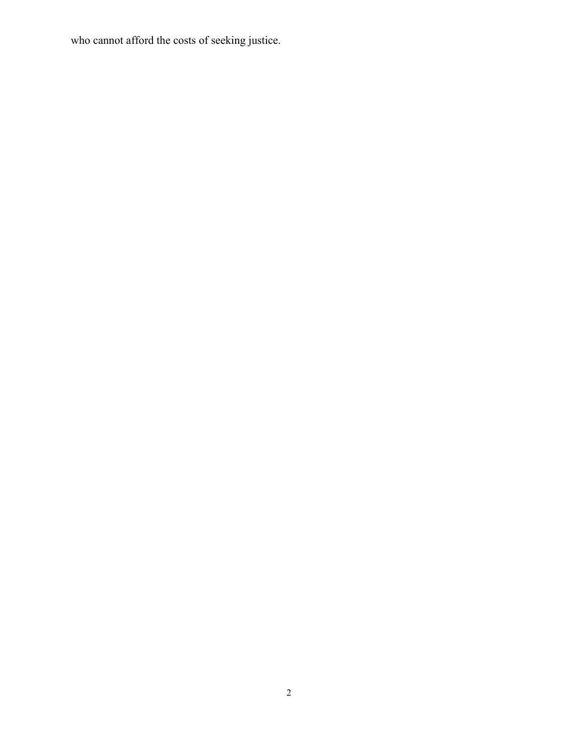who cannot afford the costs of seeking justice.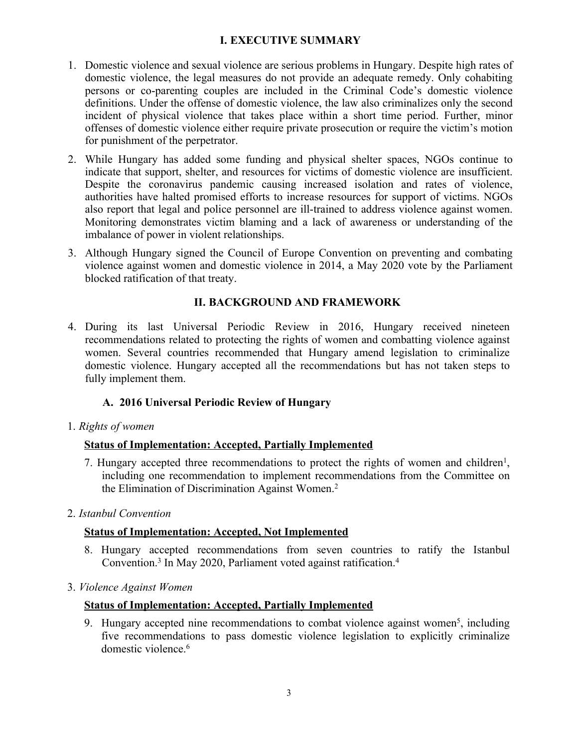# **I. EXECUTIVE SUMMARY**

- 1. Domestic violence and sexual violence are serious problems in Hungary. Despite high rates of domestic violence, the legal measures do not provide an adequate remedy. Only cohabiting persons or co-parenting couples are included in the Criminal Code'<sup>s</sup> domestic violence definitions. Under the offense of domestic violence, the law also criminalizes only the second incident of physical violence that takes place within <sup>a</sup> short time period. Further, minor offenses of domestic violence either require private prosecution or require the victim'<sup>s</sup> motion for punishment of the perpetrator.
- 2. While Hungary has added some funding and physical shelter spaces, NGOs continue to indicate that support, shelter, and resources for victims of domestic violence are insufficient. Despite the coronavirus pandemic causing increased isolation and rates of violence, authorities have halted promised efforts to increase resources for suppor<sup>t</sup> of victims. NGOs also repor<sup>t</sup> that legal and police personnel are ill-trained to address violence against women. Monitoring demonstrates victim blaming and <sup>a</sup> lack of awareness or understanding of the imbalance of power in violent relationships.
- 3. Although Hungary signed the Council of Europe Convention on preventing and combating violence against women and domestic violence in 2014, <sup>a</sup> May 2020 vote by the Parliament blocked ratification of that treaty.

# **II. BACKGROUND AND FRAMEWORK**

4. During its last Universal Periodic Review in 2016, Hungary received nineteen recommendations related to protecting the rights of women and combatting violence against women. Several countries recommended that Hungary amend legislation to criminalize domestic violence. Hungary accepted all the recommendations but has not taken steps to fully implement them.

# **A. 2016 Universal Periodic Review of Hungary**

1. *Rights of women*

# **Status of Implementation: Accepted, Partially Implemented**

- 7. Hungary accepted three recommendations to protect the rights of women and children<sup>1</sup>, including one recommendation to implement recommendations from the Committee on the Elimination of Discrimination Against Women. 2
- 2. *Istanbul Convention*

# **Status of Implementation: Accepted, Not Implemented**

- 8. Hungary accepted recommendations from seven countries to ratify the Istanbul Convention.<sup>3</sup> In May 2020, Parliament voted against ratification.<sup>4</sup>
- 3. *Violence Against Women*

# **Status of Implementation: Accepted, Partially Implemented**

9. Hungary accepted nine recommendations to combat violence against women<sup>5</sup>, including five recommendations to pass domestic violence legislation to explicitly criminalize domestic violence. 6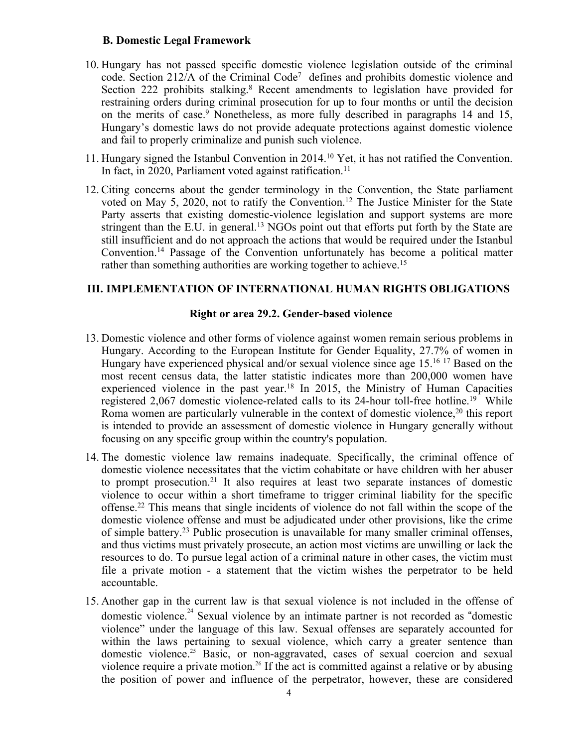#### **B. Domestic Legal Framework**

- 10. Hungary has not passed specific domestic violence legislation outside of the criminal code. Section 212/A of the Criminal Code<sup>7</sup> defines and prohibits domestic violence and Section 222 prohibits stalking. <sup>8</sup> Recent amendments to legislation have provided for restraining orders during criminal prosecution for up to four months or until the decision on the merits of case. <sup>9</sup> Nonetheless, as more fully described in paragraphs <sup>14</sup> and 15, Hungary'<sup>s</sup> domestic laws do not provide adequate protections against domestic violence and fail to properly criminalize and punish such violence.
- 11. Hungary signed the Istanbul Convention in 2014. <sup>10</sup> Yet, it has not ratified the Convention. In fact, in 2020, Parliament voted against ratification. 11
- 12. Citing concerns about the gender terminology in the Convention, the State parliament voted on May 5, 2020, not to ratify the Convention. 12 The Justice Minister for the State Party asserts that existing domestic-violence legislation and suppor<sup>t</sup> systems are more stringent than the E.U. in general.<sup>13</sup> NGOs point out that efforts put forth by the State are still insufficient and do not approach the actions that would be required under the Istanbul Convention. 14 Passage of the Convention unfortunately has become <sup>a</sup> political matter rather than something authorities are working together to achieve. 15

#### **III. IMPLEMENTATION OF INTERNATIONAL HUMAN RIGHTS OBLIGATIONS**

#### **Right or area 29.2. Gender-based violence**

- 13. Domestic violence and other forms of violence against women remain serious problems in Hungary. According to the European Institute for Gender Equality, 27.7% of women in Hungary have experienced physical and/or sexual violence since age 15. <sup>16</sup> <sup>17</sup> Based on the most recent census data, the latter statistic indicates more than 200,000 women have experienced violence in the pas<sup>t</sup> year. 18 In 2015, the Ministry of Human Capacities registered 2,067 domestic violence-related calls to its 24-hour toll-free hotline.<sup>19</sup> While Roma women are particularly vulnerable in the context of domestic violence,<sup>20</sup> this report is intended to provide an assessment of domestic violence in Hungary generally without focusing on any specific group within the country's population.
- 14. The domestic violence law remains inadequate. Specifically, the criminal offence of domestic violence necessitates that the victim cohabitate or have children with her abuser to promp<sup>t</sup> prosecution. 21 It also requires at least two separate instances of domestic violence to occur within <sup>a</sup> short timeframe to trigger criminal liability for the specific offense. 22 This means that single incidents of violence do not fall within the scope of the domestic violence offense and must be adjudicated under other provisions, like the crime of simple battery. 23 Public prosecution is unavailable for many smaller criminal offenses, and thus victims must privately prosecute, an action most victims are unwilling or lack the resources to do. To pursue legal action of <sup>a</sup> criminal nature in other cases, the victim must file <sup>a</sup> private motion - <sup>a</sup> statement that the victim wishes the perpetrator to be held accountable.
- 15. Another gap in the current law is that sexual violence is not included in the offense of domestic violence.<sup>24</sup> Sexual violence by an intimate partner is not recorded as "domestic violence" under the language of this law. Sexual offenses are separately accounted for within the laws pertaining to sexual violence, which carry <sup>a</sup> greater sentence than domestic violence.<sup>25</sup> Basic, or non-aggravated, cases of sexual coercion and sexual violence require a private motion.<sup>26</sup> If the act is committed against a relative or by abusing the position of power and influence of the perpetrator, however, these are considered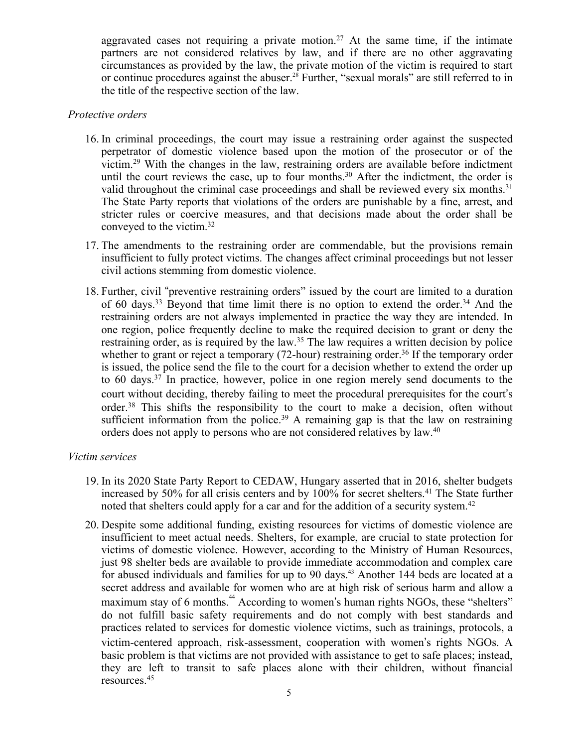aggravated cases not requiring a private motion.<sup>27</sup> At the same time, if the intimate partners are not considered relatives by law, and if there are no other aggravating circumstances as provided by the law, the private motion of the victim is required to start or continue procedures against the abuser.<sup>28</sup> Further, "sexual morals" are still referred to in the title of the respective section of the law.

#### *Protective orders*

- 16. In criminal proceedings, the court may issue <sup>a</sup> restraining order against the suspected perpetrator of domestic violence based upon the motion of the prosecutor or of the victim. <sup>29</sup> With the changes in the law, restraining orders are available before indictment until the court reviews the case, up to four months.<sup>30</sup> After the indictment, the order is valid throughout the criminal case proceedings and shall be reviewed every six months.<sup>31</sup> The State Party reports that violations of the orders are punishable by <sup>a</sup> fine, arrest, and stricter rules or coercive measures, and that decisions made about the order shall be conveyed to the victim. 32
- 17. The amendments to the restraining order are commendable, but the provisions remain insufficient to fully protect victims. The changes affect criminal proceedings but not lesser civil actions stemming from domestic violence.
- 18. Further, civil "preventive restraining orders" issued by the court are limited to <sup>a</sup> duration of 60 days.<sup>33</sup> Beyond that time limit there is no option to extend the order.<sup>34</sup> And the restraining orders are not always implemented in practice the way they are intended. In one region, police frequently decline to make the required decision to gran<sup>t</sup> or deny the restraining order, as is required by the law. 35 The law requires <sup>a</sup> written decision by police whether to grant or reject a temporary (72-hour) restraining order.<sup>36</sup> If the temporary order is issued, the police send the file to the court for <sup>a</sup> decision whether to extend the order up to 60 days. 37 In practice, however, police in one region merely send documents to the court without deciding, thereby failing to meet the procedural prerequisites for the court'<sup>s</sup> order. 38 This shifts the responsibility to the court to make <sup>a</sup> decision, often without sufficient information from the police.<sup>39</sup> A remaining gap is that the law on restraining orders does not apply to persons who are not considered relatives by law. 40

#### *Victim services*

- 19. In its 2020 State Party Report to CEDAW, Hungary asserted that in 2016, shelter budgets increased by 50% for all crisis centers and by 100% for secret shelters. 41 The State further noted that shelters could apply for a car and for the addition of a security system.<sup>42</sup>
- 20. Despite some additional funding, existing resources for victims of domestic violence are insufficient to meet actual needs. Shelters, for example, are crucial to state protection for victims of domestic violence. However, according to the Ministry of Human Resources, just 98 shelter beds are available to provide immediate accommodation and complex care for abused individuals and families for up to 90 days. 43 Another 144 beds are located at <sup>a</sup> secret address and available for women who are at high risk of serious harm and allow <sup>a</sup> maximum stay of 6 months.<sup>44</sup> According to women's human rights NGOs, these "shelters" do not fulfill basic safety requirements and do not comply with best standards and practices related to services for domestic violence victims, such as trainings, protocols, <sup>a</sup> victim-centered approach, risk-assessment, cooperation with women'<sup>s</sup> rights NGOs. A basic problem is that victims are not provided with assistance to ge<sup>t</sup> to safe places; instead, they are left to transit to safe places alone with their children, without financial resources. 45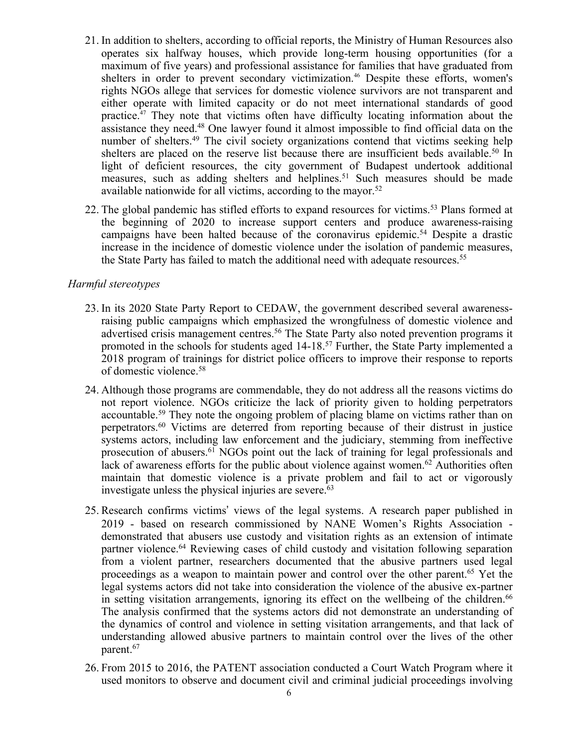- 21. In addition to shelters, according to official reports, the Ministry of Human Resources also operates six halfway houses, which provide long-term housing opportunities (for <sup>a</sup> maximum of five years) and professional assistance for families that have graduated from shelters in order to preven<sup>t</sup> secondary victimization. 46 Despite these efforts, women's rights NGOs allege that services for domestic violence survivors are not transparent and either operate with limited capacity or do not meet international standards of good practice.<sup>47</sup> They note that victims often have difficulty locating information about the assistance they need. <sup>48</sup> One lawyer found it almost impossible to find official data on the number of shelters. 49 The civil society organizations contend that victims seeking help shelters are placed on the reserve list because there are insufficient beds available.<sup>50</sup> In light of deficient resources, the city governmen<sup>t</sup> of Budapest undertook additional measures, such as adding shelters and helplines. 51 Such measures should be made available nationwide for all victims, according to the mayor. 52
- 22. The global pandemic has stifled efforts to expand resources for victims. 53 Plans formed at the beginning of 2020 to increase suppor<sup>t</sup> centers and produce awareness-raising campaigns have been halted because of the coronavirus epidemic. <sup>54</sup> Despite <sup>a</sup> drastic increase in the incidence of domestic violence under the isolation of pandemic measures, the State Party has failed to match the additional need with adequate resources. 55

#### *Harmful stereotypes*

- 23. In its 2020 State Party Report to CEDAW, the governmen<sup>t</sup> described several awarenessraising public campaigns which emphasized the wrongfulness of domestic violence and advertised crisis managemen<sup>t</sup> centres. 56 The State Party also noted prevention programs it promoted in the schools for students aged 14-18. 57 Further, the State Party implemented <sup>a</sup> 2018 program of trainings for district police officers to improve their response to reports of domestic violence. 58
- 24. Although those programs are commendable, they do not address all the reasons victims do not repor<sup>t</sup> violence. NGOs criticize the lack of priority given to holding perpetrators accountable. 59 They note the ongoing problem of placing blame on victims rather than on perpetrators. <sup>60</sup> Victims are deterred from reporting because of their distrust in justice systems actors, including law enforcement and the judiciary, stemming from ineffective prosecution of abusers. <sup>61</sup> NGOs point out the lack of training for legal professionals and lack of awareness efforts for the public about violence against women.<sup>62</sup> Authorities often maintain that domestic violence is <sup>a</sup> private problem and fail to act or vigorously investigate unless the physical injuries are severe. 63
- 25. Research confirms victims' views of the legal systems. A research paper published in 2019 - based on research commissioned by NANE Women'<sup>s</sup> Rights Association demonstrated that abusers use custody and visitation rights as an extension of intimate partner violence. <sup>64</sup> Reviewing cases of child custody and visitation following separation from <sup>a</sup> violent partner, researchers documented that the abusive partners used legal proceedings as <sup>a</sup> weapon to maintain power and control over the other parent. <sup>65</sup> Yet the legal systems actors did not take into consideration the violence of the abusive ex-partner in setting visitation arrangements, ignoring its effect on the wellbeing of the children.<sup>66</sup> The analysis confirmed that the systems actors did not demonstrate an understanding of the dynamics of control and violence in setting visitation arrangements, and that lack of understanding allowed abusive partners to maintain control over the lives of the other parent. 67
- 26. From 2015 to 2016, the PATENT association conducted <sup>a</sup> Court Watch Program where it used monitors to observe and document civil and criminal judicial proceedings involving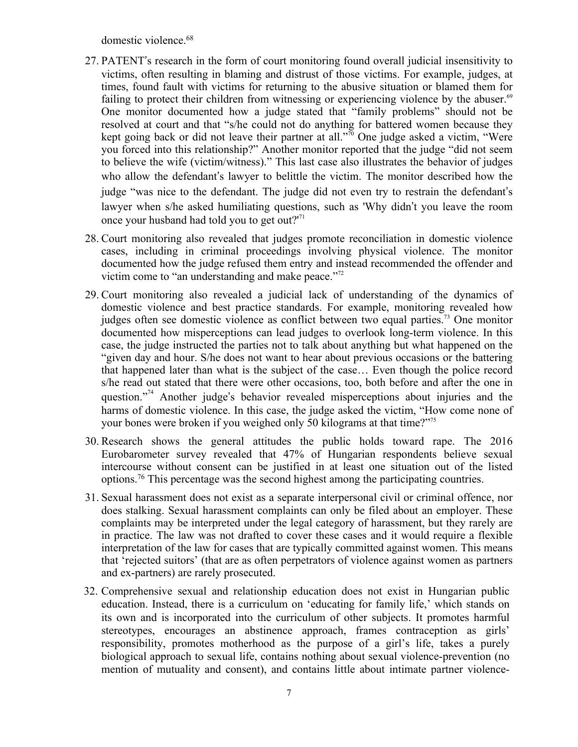domestic violence. 68

- 27. PATENT'<sup>s</sup> research in the form of court monitoring found overall judicial insensitivity to victims, often resulting in blaming and distrust of those victims. For example, judges, at times, found fault with victims for returning to the abusive situation or blamed them for failing to protect their children from witnessing or experiencing violence by the abuser.<sup>69</sup> One monitor documented how <sup>a</sup> judge stated that "family problems" should not be resolved at court and that "s/he could not do anything for battered women because they kept going back or did not leave their partner at all." 70 One judge asked <sup>a</sup> victim, "Were you forced into this relationship?" Another monitor reported that the judge "did not seem to believe the wife (victim/witness)." This last case also illustrates the behavior of judges who allow the defendant'<sup>s</sup> lawyer to belittle the victim. The monitor described how the judge "was nice to the defendant. The judge did not even try to restrain the defendant'<sup>s</sup> lawyer when s/he asked humiliating questions, such as 'Why didn'<sup>t</sup> you leave the room once your husband had told you to get out?'<sup>71</sup>
- 28. Court monitoring also revealed that judges promote reconciliation in domestic violence cases, including in criminal proceedings involving physical violence. The monitor documented how the judge refused them entry and instead recommended the offender and victim come to "an understanding and make peace."<sup>72</sup>
- 29. Court monitoring also revealed <sup>a</sup> judicial lack of understanding of the dynamics of domestic violence and best practice standards. For example, monitoring revealed how judges often see domestic violence as conflict between two equal parties.<sup>73</sup> One monitor documented how misperceptions can lead judges to overlook long-term violence. In this case, the judge instructed the parties not to talk about anything but what happened on the "given day and hour. S/he does not want to hear about previous occasions or the battering that happened later than what is the subject of the case… Even though the police record s/he read out stated that there were other occasions, too, both before and after the one in question."<sup>74</sup> Another judge's behavior revealed misperceptions about injuries and the harms of domestic violence. In this case, the judge asked the victim, "How come none of your bones were broken if you weighed only 50 kilograms at that time?" 75
- 30. Research shows the general attitudes the public holds toward rape. The 2016 Eurobarometer survey revealed that 47% of Hungarian respondents believe sexual intercourse without consent can be justified in at least one situation out of the listed options. 76 This percentage was the second highest among the participating countries.
- 31. Sexual harassment does not exist as <sup>a</sup> separate interpersonal civil or criminal offence, nor does stalking. Sexual harassment complaints can only be filed about an employer. These complaints may be interpreted under the legal category of harassment, but they rarely are in practice. The law was not drafted to cover these cases and it would require <sup>a</sup> flexible interpretation of the law for cases that are typically committed against women. This means that 'rejected suitors' (that are as often perpetrators of violence against women as partners and ex-partners) are rarely prosecuted.
- 32. Comprehensive sexual and relationship education does not exist in Hungarian public education. Instead, there is <sup>a</sup> curriculum on 'educating for family life,' which stands on its own and is incorporated into the curriculum of other subjects. It promotes harmful stereotypes, encourages an abstinence approach, frames contraception as girls' responsibility, promotes motherhood as the purpose of <sup>a</sup> girl'<sup>s</sup> life, takes <sup>a</sup> purely biological approach to sexual life, contains nothing about sexual violence-prevention (no mention of mutuality and consent), and contains little about intimate partner violence-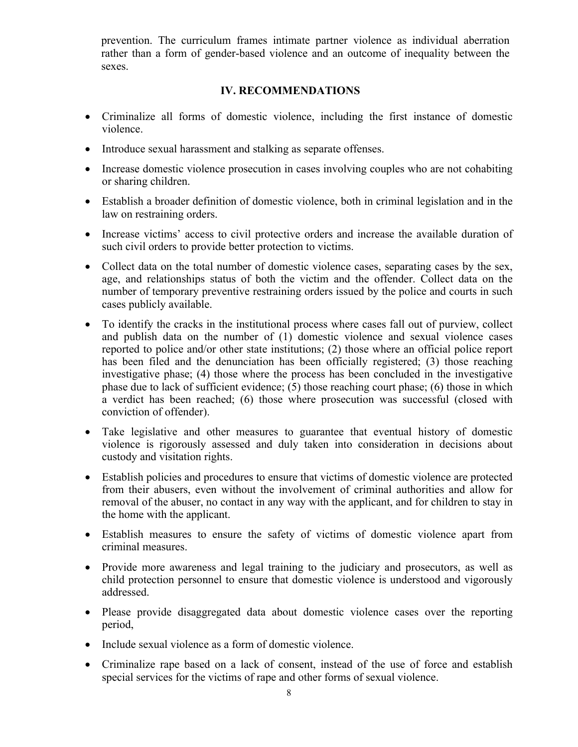prevention. The curriculum frames intimate partner violence as individual aberration rather than <sup>a</sup> form of gender-based violence and an outcome of inequality between the sexes.

#### **IV. RECOMMENDATIONS**

- Criminalize all forms of domestic violence, including the first instance of domestic violence.
- Introduce sexual harassment and stalking as separate offenses.
- Increase domestic violence prosecution in cases involving couples who are not cohabiting or sharing children.
- Establish <sup>a</sup> broader definition of domestic violence, both in criminal legislation and in the law on restraining orders.
- Increase victims' access to civil protective orders and increase the available duration of such civil orders to provide better protection to victims.
- Collect data on the total number of domestic violence cases, separating cases by the sex, age, and relationships status of both the victim and the offender. Collect data on the number of temporary preventive restraining orders issued by the police and courts in such cases publicly available.
- To identify the cracks in the institutional process where cases fall out of purview, collect and publish data on the number of (1) domestic violence and sexual violence cases reported to police and/or other state institutions; (2) those where an official police repor<sup>t</sup> has been filed and the denunciation has been officially registered; (3) those reaching investigative phase; (4) those where the process has been concluded in the investigative phase due to lack of sufficient evidence; (5) those reaching court phase; (6) those in which <sup>a</sup> verdict has been reached; (6) those where prosecution was successful (closed with conviction of offender).
- Take legislative and other measures to guarantee that eventual history of domestic violence is rigorously assessed and duly taken into consideration in decisions about custody and visitation rights.
- Establish policies and procedures to ensure that victims of domestic violence are protected from their abusers, even without the involvement of criminal authorities and allow for removal of the abuser, no contact in any way with the applicant, and for children to stay in the home with the applicant.
- Establish measures to ensure the safety of victims of domestic violence apar<sup>t</sup> from criminal measures.
- Provide more awareness and legal training to the judiciary and prosecutors, as well as child protection personnel to ensure that domestic violence is understood and vigorously addressed.
- Please provide disaggregated data about domestic violence cases over the reporting period,
- Include sexual violence as a form of domestic violence.
- Criminalize rape based on <sup>a</sup> lack of consent, instead of the use of force and establish special services for the victims of rape and other forms of sexual violence.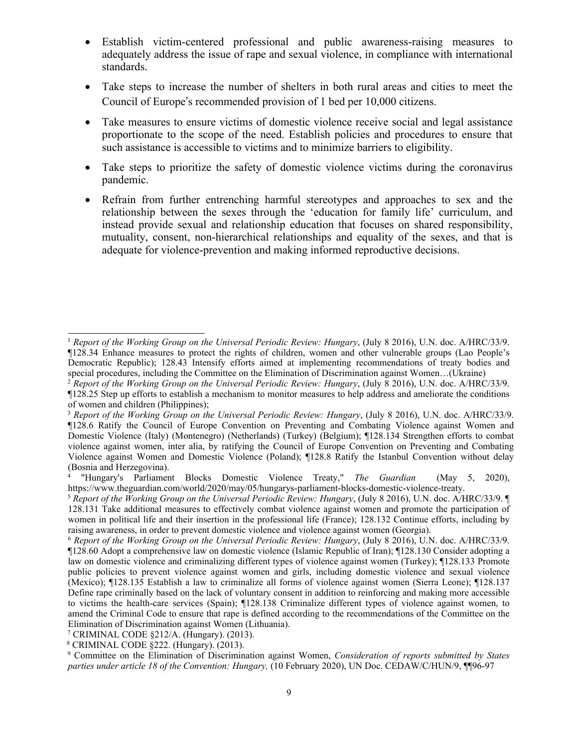- . Establish victim-centered professional and public awareness-raising measures to adequately address the issue of rape and sexual violence, in compliance with international standards.
- 0 Take steps to increase the number of shelters in both rural areas and cities to meet the Council of Europe'<sup>s</sup> recommended provision of 1 bed per 10,000 citizens.
- . Take measures to ensure victims of domestic violence receive social and legal assistance proportionate to the scope of the need. Establish policies and procedures to ensure that such assistance is accessible to victims and to minimize barriers to eligibility.
- 0 Take steps to prioritize the safety of domestic violence victims during the coronavirus pandemic.
- $\bullet$  Refrain from further entrenching harmful stereotypes and approaches to sex and the relationship between the sexes through the 'education for family life' curriculum, and instead provide sexual and relationship education that focuses on shared responsibility, mutuality, consent, non-hierarchical relationships and equality of the sexes, and that is adequate for violence-prevention and making informed reproductive decisions.

<sup>1</sup> *Report of the Working Group on the Universal Periodic Review: Hungary*, (July 8 2016), U.N. doc. A/HRC/33/9. ¶128.34 Enhance measures to protect the rights of children, women and other vulnerable groups (Lao People'<sup>s</sup> Democratic Republic); 128.43 Intensify efforts aimed at implementing recommendations of treaty bodies and special procedures, including the Committee on the Elimination of Discrimination against Women...(Ukraine)

<sup>2</sup> *Report of the Working Group on the Universal Periodic Review: Hungary*, (July 8 2016), U.N. doc. A/HRC/33/9. ¶128.25 Step up efforts to establish <sup>a</sup> mechanism to monitor measures to help address and ameliorate the conditions of women and children (Philippines);

<sup>3</sup> *Report of the Working Group on the Universal Periodic Review: Hungary*, (July 8 2016), U.N. doc. A/HRC/33/9. ¶128.6 Ratify the Council of Europe Convention on Preventing and Combating Violence against Women and Domestic Violence (Italy) (Montenegro) (Netherlands) (Turkey) (Belgium); ¶128.134 Strengthen efforts to combat violence against women, inter alia, by ratifying the Council of Europe Convention on Preventing and Combating Violence against Women and Domestic Violence (Poland); ¶128.8 Ratify the Istanbul Convention without delay (Bosnia and Herzegovina).

<sup>4</sup> "Hungary's Parliament Blocks Domestic Violence Treaty," *The Guardian* (May 5, 2020), https://www.theguardian.com/world/2020/may/05/hungarys-parliament-blocks-domestic-violence-treaty.

<sup>5</sup> *Report of the Working Group on the Universal Periodic Review: Hungary*, (July 8 2016), U.N. doc. A/HRC/33/9. ¶ 128.131 Take additional measures to effectively combat violence against women and promote the participation of women in political life and their insertion in the professional life (France); 128.132 Continue efforts, including by raising awareness, in order to preven<sup>t</sup> domestic violence and violence against women (Georgia).

<sup>6</sup> *Report of the Working Group on the Universal Periodic Review: Hungary*, (July 8 2016), U.N. doc. A/HRC/33/9. ¶128.60 Adopt <sup>a</sup> comprehensive law on domestic violence (Islamic Republic of Iran); ¶128.130 Consider adopting <sup>a</sup> law on domestic violence and criminalizing different types of violence against women (Turkey); ¶128.133 Promote public policies to preven<sup>t</sup> violence against women and girls, including domestic violence and sexual violence (Mexico); ¶128.135 Establish <sup>a</sup> law to criminalize all forms of violence against women (Sierra Leone); ¶128.137 Define rape criminally based on the lack of voluntary consent in addition to reinforcing and making more accessible to victims the health-care services (Spain); ¶128.138 Criminalize different types of violence against women, to amend the Criminal Code to ensure that rape is defined according to the recommendations of the Committee on the Elimination of Discrimination against Women (Lithuania).

<sup>7</sup> CRIMINAL CODE §212/A. (Hungary). (2013).

<sup>8</sup> CRIMINAL CODE §222. (Hungary). (2013).

<sup>9</sup> Committee on the Elimination of Discrimination against Women, *Consideration of reports submitted by States parties under article 18 of the Convention: Hungary,* (10 February 2020), UN Doc. CEDAW/C/HUN/9, ¶¶96-97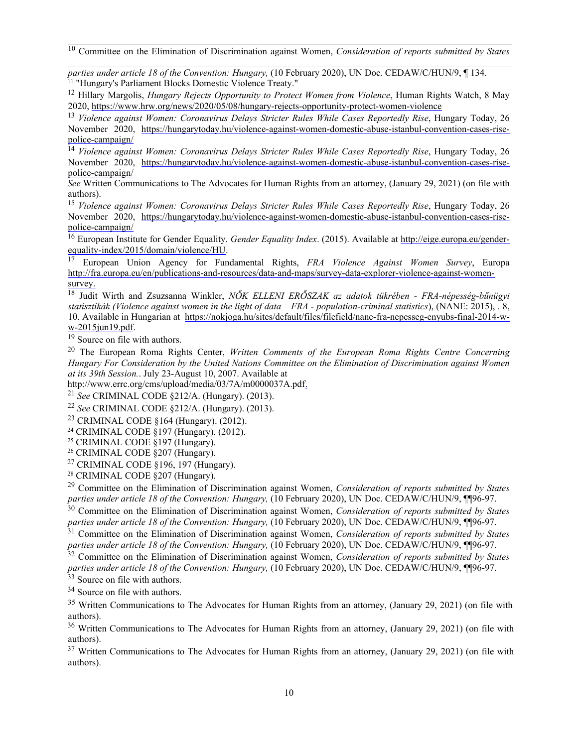10 Committee on the Elimination of Discrimination against Women, *Consideration of reports submitted by States*

*parties under article 18 of the Convention: Hungary,* (10 February 2020), UN Doc. CEDAW/C/HUN/9, ¶ 134. <sup>11</sup> "Hungary's Parliament Blocks Domestic Violence Treaty."

12 Hillary Margolis, *Hungary Rejects Opportunity to Protect Women from Violence*, Human Rights Watch, 8 May 2020, https://www.hrw.org/news/2020/05/08/hungary-rejects-opportunity-protect-women-violence

13 *Violence against Women: Coronavirus Delays Stricter Rules While Cases Reportedly Rise*, Hungary Today, 26 November 2020, [https://hungarytoday.hu/violence-against-women-domestic-abuse-istanbul-convention-cases-rise](https://hungarytoday.hu/violence-against-women-domestic-abuse-istanbul-convention-cases-rise-police-campaign/)po[lice-campaign/](https://hungarytoday.hu/violence-against-women-domestic-abuse-istanbul-convention-cases-rise-police-campaign/)

14 *Violence against Women: Coronavirus Delays Stricter Rules While Cases Reportedly Rise*, Hungary Today, 26 November 2020, [https://hungarytoday.hu/violence-against-women-domestic-abuse-istanbul-convention-cases-rise](https://hungarytoday.hu/violence-against-women-domestic-abuse-istanbul-convention-cases-rise-police-campaign/)po[lice-campaign/](https://hungarytoday.hu/violence-against-women-domestic-abuse-istanbul-convention-cases-rise-police-campaign/)

*See* Written Communications to The Advocates for Human Rights from an attorney, (January 29, 2021) (on file with authors).

15 *Violence against Women: Coronavirus Delays Stricter Rules While Cases Reportedly Rise*, Hungary Today, 26 November 2020, [https://hungarytoday.hu/violence-against-women-domestic-abuse-istanbul-convention-cases-rise](https://hungarytoday.hu/violence-against-women-domestic-abuse-istanbul-convention-cases-rise-police-campaign/)po[lice-campaign/](https://hungarytoday.hu/violence-against-women-domestic-abuse-istanbul-convention-cases-rise-police-campaign/)

<sup>16</sup> European Institute for Gender Equality. *Gender Equality Index*. (2015). Available at [http://eige.europa.eu/gender](about:blank)equa[lity-index/2015/domain/violence/HU](about:blank).

17 European Union Agency for Fundamental Rights, *FRA Violence Against Women Survey*, Europa [http://fra.europa.eu/en/publications-and-resources/data-and-maps/survey-data-explorer-violence-against-women](about:blank)[survey](about:blank).

18 Judit Wirth and Zsuzsanna Winkler, *<sup>N</sup>Ő<sup>K</sup> ELLENI ERŐSZAK az adatok tükrében - FRA-népesség-bűnügyi* statisztikák (Violence against women in the light of data – FRA - population-criminal statistics), (NANE: 2015),  $\overline{.8}$ , 10. Available in Hungarian at [https://nokjoga.hu/sites/default/files/filefield/nane-fra-nepesseg-enyubs-final-2014-w](about:blank)[w-2015jun19.pdf](about:blank).

<sup>19</sup> Source on file with authors.

20 The European Roma Rights Center, *Written Comments of the European Roma Rights Centre Concerning Hungary For Consideration by the United Nations Committee on the Elimination of Discrimination against Women at its 39th Session.*. July 23-August 10, 2007. Available at

<http://www.errc.org/cms/upload/media/03/7A/m0000037A.pdf>.

22 *See* CRIMINAL CODE §212/A. (Hungary). (2013).

<sup>23</sup> CRIMINAL CODE §164 (Hungary). (2012).

<sup>24</sup> CRIMINAL CODE §197 (Hungary). (2012).

<sup>25</sup> CRIMINAL CODE §197 (Hungary).

<sup>26</sup> CRIMINAL CODE §207 (Hungary).

<sup>27</sup> CRIMINAL CODE §196, 197 (Hungary).

<sup>28</sup> CRIMINAL CODE §207 (Hungary).

29 Committee on the Elimination of Discrimination against Women, *Consideration of reports submitted by States parties under article 18 of the Convention: Hungary,* (10 February 2020), UN Doc. CEDAW/C/HUN/9, ¶¶96-97.

30 Committee on the Elimination of Discrimination against Women, *Consideration of reports submitted by States*

parties under article 18 of the Convention: Hungary, (10 February 2020), UN Doc. CEDAW/C/HUN/9, ¶¶96-97.<br><sup>31</sup> Committee on the Elimination of Discrimination against Women, *Consideration of reports submitted by States parties under article 18 of the Convention: Hungary,* (10 February 2020), UN Doc. CEDAW/C/HUN/9, ¶¶96-97.

32 Committee on the Elimination of Discrimination against Women, *Consideration of reports submitted by States parties under article 18 of the Convention: Hungary,* (10 February 2020), UN Doc. CEDAW/C/HUN/9, ¶¶96-97.

<sup>33</sup> Source on file with authors.

<sup>34</sup> Source on file with authors.

<sup>35</sup> Written Communications to The Advocates for Human Rights from an attorney, (January 29, 2021) (on file with authors).

<sup>36</sup> Written Communications to The Advocates for Human Rights from an attorney, (January 29, 2021) (on file with authors).

<sup>37</sup> Written Communications to The Advocates for Human Rights from an attorney, (January 29, 2021) (on file with authors).

<sup>21</sup> *See* CRIMINAL CODE §212/A. (Hungary). (2013).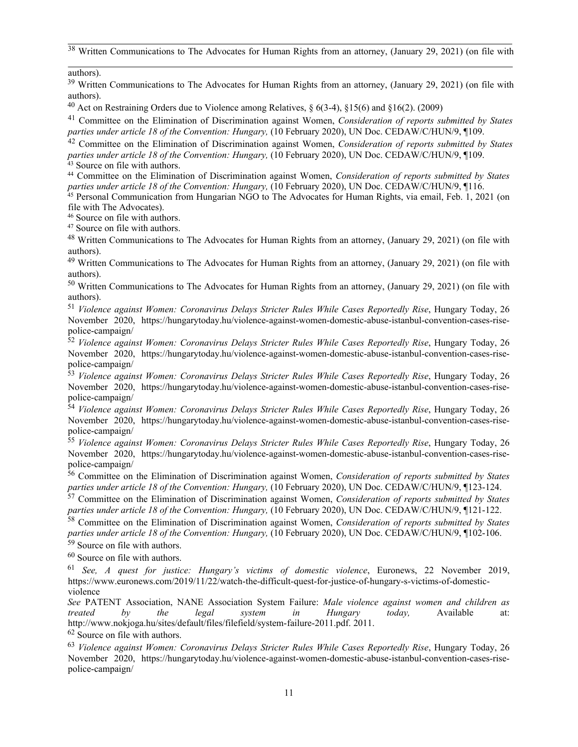$38$  Written Communications to The Advocates for Human Rights from an attorney, (January 29, 2021) (on file with

authors).

<sup>39</sup> Written Communications to The Advocates for Human Rights from an attorney, (January 29, 2021) (on file with authors).

<sup>40</sup> Act on Restraining Orders due to Violence among Relatives,  $\S 6(3-4)$ ,  $\S 15(6)$  and  $\S 16(2)$ . (2009)

41 Committee on the Elimination of Discrimination against Women, *Consideration of reports submitted by States parties under article 18 of the Convention: Hungary,* (10 February 2020), UN Doc. CEDAW/C/HUN/9, ¶109.

42 Committee on the Elimination of Discrimination against Women, *Consideration of reports submitted by States parties under article 18 of the Convention: Hungary,* (10 February 2020), UN Doc. CEDAW/C/HUN/9, ¶109. <sup>43</sup> Source on file with authors.

<sup>44</sup> Committee on the Elimination of Discrimination against Women, *Consideration of reports submitted by States*

parties under article 18 of the Convention: Hungary, (10 February 2020), UN Doc. CEDAW/C/HUN/9, ¶116.<br><sup>45</sup> Personal Communication from Hungarian NGO to The Advocates for Human Rights, via email, Feb. 1, 2021 (on file with The Advocates).

46 Source on file with authors.

<sup>47</sup> Source on file with authors.

<sup>48</sup> Written Communications to The Advocates for Human Rights from an attorney, (January 29, 2021) (on file with authors).

<sup>49</sup> Written Communications to The Advocates for Human Rights from an attorney, (January 29, 2021) (on file with authors).

<sup>50</sup> Written Communications to The Advocates for Human Rights from an attorney, (January 29, 2021) (on file with authors).

51 *Violence against Women: Coronavirus Delays Stricter Rules While Cases Reportedly Rise*, Hungary Today, 26 November 2020, https://hungarytoday.hu/violence-against-women-domestic-abuse-istanbul-convention-cases-risepolice-campaign/

52 *Violence against Women: Coronavirus Delays Stricter Rules While Cases Reportedly Rise*, Hungary Today, 26 November 2020, https://hungarytoday.hu/violence-against-women-domestic-abuse-istanbul-convention-cases-rise-

police-campaign/ 53 *Violence against Women: Coronavirus Delays Stricter Rules While Cases Reportedly Rise*, Hungary Today, 26 November 2020, https://hungarytoday.hu/violence-against-women-domestic-abuse-istanbul-convention-cases-risepolice-campaign/

54 *Violence against Women: Coronavirus Delays Stricter Rules While Cases Reportedly Rise*, Hungary Today, 26 November 2020, https://hungarytoday.hu/violence-against-women-domestic-abuse-istanbul-convention-cases-risepolice-campaign/

55 *Violence against Women: Coronavirus Delays Stricter Rules While Cases Reportedly Rise*, Hungary Today, 26 November 2020, https://hungarytoday.hu/violence-against-women-domestic-abuse-istanbul-convention-cases-risepolice-campaign/

56 Committee on the Elimination of Discrimination against Women, *Consideration of reports submitted by States parties under article 18 of the Convention: Hungary,* (10 February 2020), UN Doc. CEDAW/C/HUN/9, ¶123-124.

57 Committee on the Elimination of Discrimination against Women, *Consideration of reports submitted by States parties under article 18 of the Convention: Hungary,* (10 February 2020), UN Doc. CEDAW/C/HUN/9, ¶121-122.

58 Committee on the Elimination of Discrimination against Women, *Consideration of reports submitted by States parties under article 18 of the Convention: Hungary,* (10 February 2020), UN Doc. CEDAW/C/HUN/9, ¶102-106. 59 Source on file with authors.

 $60$  Source on file with authors.

61 *See, A ques<sup>t</sup> for justice: Hungary'<sup>s</sup> victims of domestic violence*, Euronews, 22 November 2019, https://www.euronews.com/2019/11/22/watch-the-difficult-quest-for-justice-of-hungary-s-victims-of-domesticviolence

*See* PATENT Association, NANE Association System Failure: *Male violence against women and children as treated by the legal system in Hungary today,* Available at: http://www.nokjoga.hu/sites/default/files/filefield/system-failure-2011.pdf. 2011.

 $62$  Source on file with authors.

63 *Violence against Women: Coronavirus Delays Stricter Rules While Cases Reportedly Rise*, Hungary Today, 26 November 2020, https://hungarytoday.hu/violence-against-women-domestic-abuse-istanbul-convention-cases-risepolice-campaign/